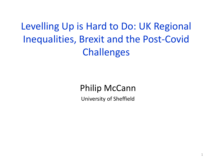Levelling Up is Hard to Do: UK Regional Inequalities, Brexit and the Post-Covid **Challenges** 

### Philip McCann

University of Sheffield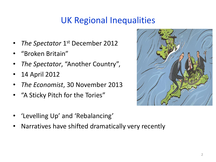- *The Spectator* 1<sup>st</sup> December 2012
- "Broken Britain"
- *The Spectator*, "Another Country",
- 14 April 2012
- *The Economist*, 30 November 2013
- "A Sticky Pitch for the Tories"



- 'Levelling Up' and 'Rebalancing'
- Narratives have shifted dramatically very recently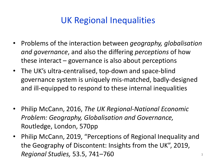- Problems of the interaction between *geography, globalisation and governance*, and also the differing *perceptions* of how these interact – governance is also about perceptions
- The UK's ultra-centralised, top-down and space-blind governance system is uniquely mis-matched, badly-designed and ill-equipped to respond to these internal inequalities
- Philip McCann, 2016, *The UK Regional-National Economic Problem: Geography, Globalisation and Governance,*  Routledge, London, 570pp
- Philip McCann, 2019, "Perceptions of Regional Inequality and the Geography of Discontent: Insights from the UK", 2019, *Regional Studies, 53.5, 741–760* 3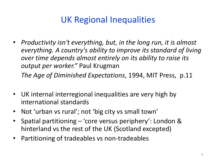- *Productivity isn't everything, but, in the long run, it is almost everything. A country's ability to improve its standard of living over time depends almost entirely on its ability to raise its output per worker."* Paul Krugman *The Age of Diminished Expectations*, 1994, MIT Press, p.11
- UK internal interregional inequalities are very high by international standards
- Not 'urban vs rural'; not 'big city vs small town'
- Spatial partitioning 'core versus periphery': London & hinterland vs the rest of the UK (Scotland excepted)
- Partitioning of tradeables vs non-tradeables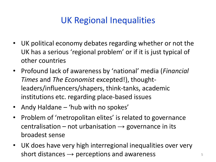- UK political economy debates regarding whether or not the UK has a serious 'regional problem' or if it is just typical of other countries
- Profound lack of awareness by 'national' media (*Financial Times* and *The Economist* excepted!), thoughtleaders/influencers/shapers, think-tanks, academic institutions etc. regarding place-based issues
- Andy Haldane 'hub with no spokes'
- Problem of 'metropolitan elites' is related to governance centralisation – not urbanisation  $\rightarrow$  governance in its broadest sense
- UK does have very high interregional inequalities over very short distances  $\rightarrow$  perceptions and awareness  $5$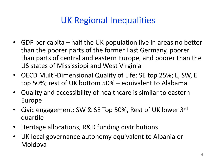- GDP per capita half the UK population live in areas no better than the poorer parts of the former East Germany, poorer than parts of central and eastern Europe, and poorer than the US states of Mississippi and West Virginia
- OECD Multi-Dimensional Quality of Life: SE top 25%; L, SW, E top 50%; rest of UK bottom 50% – equivalent to Alabama
- Quality and accessibility of healthcare is similar to eastern Europe
- Civic engagement: SW & SE Top 50%, Rest of UK lower 3rd quartile
- Heritage allocations, R&D funding distributions
- UK local governance autonomy equivalent to Albania or Moldova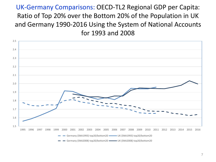UK-Germany Comparisons: OECD-TL2 Regional GDP per Capita: Ratio of Top 20% over the Bottom 20% of the Population in UK and Germany 1990-2016 Using the System of National Accounts for 1993 and 2008

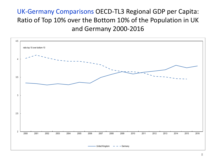#### UK-Germany Comparisons OECD-TL3 Regional GDP per Capita: Ratio of Top 10% over the Bottom 10% of the Population in UK and Germany 2000-2016

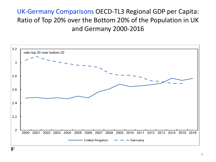### UK-Germany Comparisons OECD-TL3 Regional GDP per Capita: Ratio of Top 20% over the Bottom 20% of the Population in UK and Germany 2000-2016

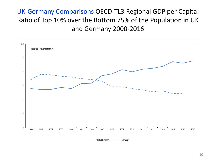#### UK-Germany Comparisons OECD-TL3 Regional GDP per Capita: Ratio of Top 10% over the Bottom 75% of the Population in UK and Germany 2000-2016

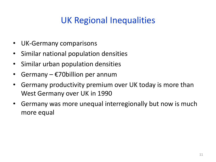- UK-Germany comparisons
- Similar national population densities
- Similar urban population densities
- Germany  $\epsilon$ 70billion per annum
- Germany productivity premium over UK today is more than West Germany over UK in 1990
- Germany was more unequal interregionally but now is much more equal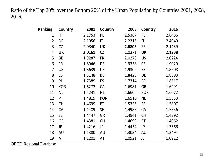Ratio of the Top 20% over the Bottom 20% of the Urban Population by Countries 2001, 2008, 2016.

| <b>Ranking</b> | Country    | 2001   | Country    | 2008   | Country                | 2016   |
|----------------|------------|--------|------------|--------|------------------------|--------|
| $\overline{1}$ | IT         | 2.1753 | PL         | 2.5367 | PL                     | 2.6486 |
| $\overline{2}$ | DE         | 2.1056 | IT         | 2.2315 | $\mathsf{I}\mathsf{T}$ | 2.4049 |
| 3              | CZ         | 2.0840 | <b>UK</b>  | 2.0803 | <b>FR</b>              | 2.1459 |
| 4              | <b>UK</b>  | 2.0161 | <b>CZ</b>  | 2.0371 | <b>UK</b>              | 2.1238 |
| 5              | BE         | 1.9287 | FR         | 2.0278 | <b>US</b>              | 2.0224 |
| 6              | <b>FR</b>  | 1.8946 | DE         | 1.9358 | <b>CZ</b>              | 1.9029 |
| $\overline{7}$ | <b>US</b>  | 1.8639 | <b>US</b>  | 1.9309 | ES                     | 1.8608 |
| 8              | ES         | 1.8148 | <b>BE</b>  | 1.8428 | DE                     | 1.8593 |
| 9              | PL         | 1.7389 | ES         | 1.7314 | <b>BE</b>              | 1.8517 |
| 10             | <b>KOR</b> | 1.6272 | <b>CA</b>  | 1.6981 | <b>GR</b>              | 1.6291 |
| 11             | <b>NL</b>  | 1.5241 | <b>NL</b>  | 1.6606 | <b>KOR</b>             | 1.6072 |
| 12             | PT         | 1.4819 | <b>KOR</b> | 1.6510 | <b>NL</b>              | 1.5833 |
| 13             | <b>CH</b>  | 1.4699 | PT         | 1.5325 | <b>SE</b>              | 1.5807 |
| 14             | <b>CA</b>  | 1.4489 | <b>SE</b>  | 1.4985 | CA                     | 1.5556 |
| 15             | <b>SE</b>  | 1.4447 | <b>GR</b>  | 1.4941 | <b>CH</b>              | 1.4392 |
| 16             | <b>GR</b>  | 1.4381 | <b>CH</b>  | 1.4699 | PT                     | 1.4062 |
| 17             | JP         | 1.4216 | JP         | 1.4454 | JP                     | 1.3666 |
| 18             | <b>AU</b>  | 1.1380 | <b>AU</b>  | 1.3034 | <b>AU</b>              | 1.3494 |
| 19             | <b>AT</b>  | 1.1201 | AT         | 1.0921 | AT                     | 1.0922 |

OECD Regional Database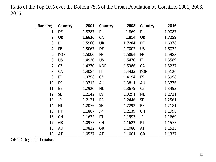Ratio of the Top 10% over the Bottom 75% of the Urban Population by Countries 2001, 2008, 2016.

| <b>Ranking</b> | Country    | 2001   | Country    | 2008   | Country                | 2016   |
|----------------|------------|--------|------------|--------|------------------------|--------|
| $\mathbf{1}$   | DE         | 1.8287 | PL         | 1.869  | PL                     | 1.9087 |
| $\overline{2}$ | <b>UK</b>  | 1.6636 | <b>CA</b>  | 1.814  | <b>UK</b>              | 1.7259 |
| 3              | PL         | 1.5960 | <b>UK</b>  | 1.7204 | DE                     | 1.6378 |
| 4              | <b>FR</b>  | 1.5067 | DE         | 1.7002 | <b>US</b>              | 1.6022 |
| 5              | <b>KOR</b> | 1.5000 | <b>FR</b>  | 1.5864 | <b>FR</b>              | 1.5988 |
| 6              | <b>US</b>  | 1.4920 | US         | 1.5470 | $\mathsf{I}\mathsf{T}$ | 1.5589 |
| 7              | <b>CZ</b>  | 1.4270 | <b>KOR</b> | 1.5386 | <b>CA</b>              | 1.5237 |
| 8              | <b>CA</b>  | 1.4084 | IT         | 1.4433 | <b>KOR</b>             | 1.5126 |
| 9              | IT         | 1.3796 | CZ         | 1.4194 | ES                     | 1.3998 |
| 10             | ES         | 1.3715 | <b>AU</b>  | 1.3811 | <b>AU</b>              | 1.3776 |
| 11             | <b>BE</b>  | 1.2920 | <b>NL</b>  | 1.3679 | CZ                     | 1.3493 |
| 12             | <b>SE</b>  | 1.2142 | ES         | 1.3291 | <b>NL</b>              | 1.2721 |
| 13             | <b>JP</b>  | 1.2121 | <b>BE</b>  | 1.2446 | <b>SE</b>              | 1.2561 |
| 14             | <b>NL</b>  | 1.2076 | <b>SE</b>  | 1.2293 | <b>BE</b>              | 1,2181 |
| 15             | PT         | 1.1867 | JP         | 1.2139 | <b>CH</b>              | 1.1998 |
| 16             | <b>CH</b>  | 1.1622 | PT         | 1.1993 | JP                     | 1.1669 |
| 17             | <b>GR</b>  | 1.0975 | <b>CH</b>  | 1.1622 | PT                     | 1.1575 |
| 18             | AU         | 1.0822 | <b>GR</b>  | 1.1080 | AT                     | 1.1525 |
| 19             | AT         | 1.0527 | AT         | 1.1001 | <b>GR</b>              | 1.1327 |

OECD Regional Database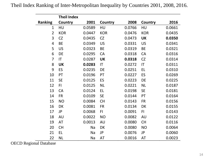|                | <b>Theil Index</b> |        |            |        |                        |        |
|----------------|--------------------|--------|------------|--------|------------------------|--------|
| <b>Ranking</b> | <b>Country</b>     | 2001   | Country    | 2008   | Country                | 2016   |
| $\mathbf{1}$   | HU                 | 0.0589 | HU         | 0.0766 | HU                     | 0.0661 |
| $\overline{2}$ | <b>KOR</b>         | 0.0447 | <b>KOR</b> | 0.0476 | <b>KOR</b>             | 0.0435 |
| 3              | <b>CZ</b>          | 0.0435 | CZ         | 0.0473 | <b>UK</b>              | 0.0350 |
| 4              | <b>BE</b>          | 0.0349 | <b>US</b>  | 0.0331 | <b>US</b>              | 0.0341 |
| 5              | <b>US</b>          | 0.0323 | <b>BE</b>  | 0.0319 | <b>BE</b>              | 0.0321 |
| 6              | <b>DE</b>          | 0.0295 | CA         | 0.0318 | CA                     | 0.0316 |
| $\overline{7}$ | IT                 | 0.0287 | <b>UK</b>  | 0.0318 | <b>CZ</b>              | 0.0314 |
| 8              | <b>UK</b>          | 0.0283 | IT         | 0.0272 | $\mathsf{I}\mathsf{T}$ | 0.0311 |
| 9              | ES                 | 0.0235 | DE         | 0.0251 | EL                     | 0.0310 |
| 10             | PT                 | 0.0196 | PT         | 0.0227 | ES                     | 0.0269 |
| 11             | <b>SE</b>          | 0.0125 | ES         | 0.0223 | DE                     | 0.0225 |
| 12             | FI                 | 0.0125 | <b>NL</b>  | 0.0221 | <b>NL</b>              | 0.0187 |
| 13             | CA                 | 0.0124 | EL         | 0.0198 | <b>SE</b>              | 0.0181 |
| 14             | <b>FR</b>          | 0.0109 | <b>SE</b>  | 0.0144 | PT                     | 0.0164 |
| 15             | <b>NO</b>          | 0.0084 | <b>CH</b>  | 0.0143 | <b>FR</b>              | 0.0156 |
| 16             | DK                 | 0.0081 | <b>FR</b>  | 0.0134 | DK                     | 0.0155 |
| 17             | JP                 | 0.0068 | FI         | 0.0091 | FI.                    | 0.0143 |
| 18             | AU                 | 0.0022 | <b>NO</b>  | 0.0082 | AU                     | 0.0122 |
| 19             | <b>AT</b>          | 0.0013 | <b>AU</b>  | 0.0080 | <b>CH</b>              | 0.0116 |
| 20             | <b>CH</b>          | Na     | DK         | 0.0080 | <b>NO</b>              | 0.0064 |
| 21             | EL                 | Na     | JP         | 0.0076 | JP                     | 0.0060 |
| 22             | <b>NL</b>          | Na     | AT         | 0.0016 | <b>AT</b>              | 0.0023 |

OECD Regional Database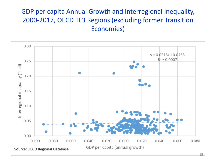#### GDP per capita Annual Growth and Interregional Inequality, 2000-2017, OECD TL3 Regions (excluding former Transition Economies)

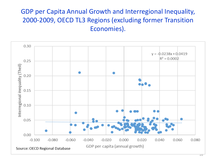#### GDP per Capita Annual Growth and Interregional Inequality, 2000-2009, OECD TL3 Regions (excluding former Transition Economies).

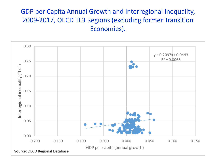#### GDP per Capita Annual Growth and Interregional Inequality, 2009-2017, OECD TL3 Regions (excluding former Transition Economies).

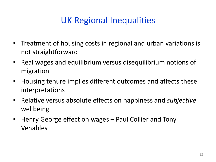- Treatment of housing costs in regional and urban variations is not straightforward
- Real wages and equilibrium versus disequilibrium notions of migration
- Housing tenure implies different outcomes and affects these interpretations
- Relative versus absolute effects on happiness and *subjective* wellbeing
- Henry George effect on wages Paul Collier and Tony Venables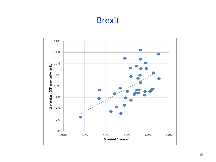### Brexit

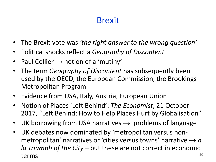### Brexit

- The Brexit vote was *'the right answer to the wrong question'*
- Political shocks reflect a *Geography of Discontent*
- Paul Collier  $\rightarrow$  notion of a 'mutiny'
- The term *Geography of Discontent* has subsequently been used by the OECD, the European Commission, the Brookings Metropolitan Program
- Evidence from USA, Italy, Austria, European Union
- Notion of Places 'Left Behind': *The Economist*, 21 October 2017, "Left Behind: How to Help Places Hurt by Globalisation"
- UK borrowing from USA narratives  $\rightarrow$  problems of language!
- UK debates now dominated by 'metropolitan versus nonmetropolitan' narratives or 'cities versus towns' narrative  $\rightarrow a$ *la Triumph of the City* – but these are not correct in economic terms  $10^{20}$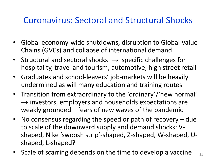### Coronavirus: Sectoral and Structural Shocks

- Global economy-wide shutdowns, disruption to Global Value-Chains (GVCs) and collapse of international demand
- Structural and sectoral shocks  $\rightarrow$  specific challenges for hospitality, travel and tourism, automotive, high street retail
- Graduates and school-leavers' job-markets will be heavily undermined as will many education and training routes
- Transition from extraordinary to the 'ordinary'/'new normal'  $\rightarrow$  investors, employers and households expectations are weakly grounded – fears of new waves of the pandemic
- No consensus regarding the speed or path of recovery due to scale of the downward supply and demand shocks: Vshaped, Nike 'swoosh strip'-shaped, Z-shaped, W-shaped, Ushaped, L-shaped?
- Scale of scarring depends on the time to develop a vaccine  $\frac{1}{21}$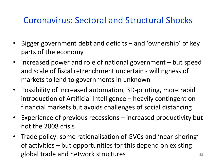## Coronavirus: Sectoral and Structural Shocks

- Bigger government debt and deficits and 'ownership' of key parts of the economy
- Increased power and role of national government but speed and scale of fiscal retrenchment uncertain - willingness of markets to lend to governments in unknown
- Possibility of increased automation, 3D-printing, more rapid introduction of Artificial Intelligence – heavily contingent on financial markets but avoids challenges of social distancing
- Experience of previous recessions increased productivity but not the 2008 crisis
- Trade policy: some rationalisation of GVCs and 'near-shoring' of activities – but opportunities for this depend on existing global trade and network structures **22** 22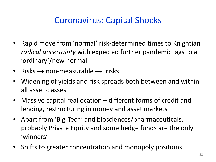# Coronavirus: Capital Shocks

- Rapid move from 'normal' risk-determined times to Knightian *radical uncertainty* with expected further pandemic lags to a 'ordinary'/new normal
- Risks  $\rightarrow$  non-measurable  $\rightarrow$  risks
- Widening of yields and risk spreads both between and within all asset classes
- Massive capital reallocation different forms of credit and lending, restructuring in money and asset markets
- Apart from 'Big-Tech' and biosciences/pharmaceuticals, probably Private Equity and some hedge funds are the only 'winners'
- Shifts to greater concentration and monopoly positions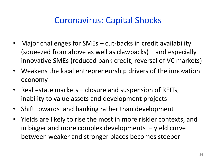## Coronavirus: Capital Shocks

- Major challenges for SMEs cut-backs in credit availability (squeezed from above as well as clawbacks) – and especially innovative SMEs (reduced bank credit, reversal of VC markets)
- Weakens the local entrepreneurship drivers of the innovation economy
- Real estate markets closure and suspension of REITs, inability to value assets and development projects
- Shift towards land banking rather than development
- Yields are likely to rise the most in more riskier contexts, and in bigger and more complex developments – yield curve between weaker and stronger places becomes steeper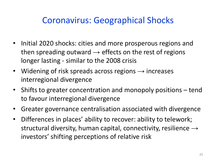## Coronavirus: Geographical Shocks

- Initial 2020 shocks: cities and more prosperous regions and then spreading outward  $\rightarrow$  effects on the rest of regions longer lasting - similar to the 2008 crisis
- Widening of risk spreads across regions  $\rightarrow$  increases interregional divergence
- Shifts to greater concentration and monopoly positions tend to favour interregional divergence
- Greater governance centralisation associated with divergence
- Differences in places' ability to recover: ability to telework; structural diversity, human capital, connectivity, resilience  $\rightarrow$ investors' shifting perceptions of relative risk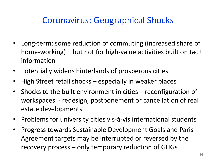# Coronavirus: Geographical Shocks

- Long-term: some reduction of commuting (increased share of home-working) – but not for high-value activities built on tacit information
- Potentially widens hinterlands of prosperous cities
- High Street retail shocks especially in weaker places
- Shocks to the built environment in cities reconfiguration of workspaces - redesign, postponement or cancellation of real estate developments
- Problems for university cities vis-à-vis international students
- Progress towards Sustainable Development Goals and Paris Agreement targets may be interrupted or reversed by the recovery process – only temporary reduction of GHGs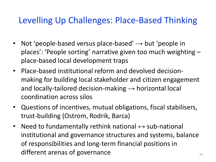## Levelling Up Challenges: Place-Based Thinking

- Not 'people-based versus place-based'  $\rightarrow$  but 'people in places': 'People sorting' narrative given too much weighting – place-based local development traps
- Place-based institutional reform and devolved decisionmaking for building local stakeholder and citizen engagement and locally-tailored decision-making  $\rightarrow$  horizontal local coordination across silos
- Questions of incentives, mutual obligations, fiscal stabilisers, trust-building (Ostrom, Rodrik, Barca)
- Need to fundamentally rethink national  $\leftrightarrow$  sub-national institutional and governance structures and systems, balance of responsibilities and long-term financial positions in different arenas of governance  $27$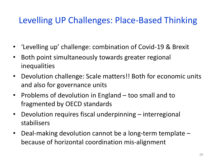# Levelling UP Challenges: Place-Based Thinking

- 'Levelling up' challenge: combination of Covid-19 & Brexit
- Both point simultaneously towards greater regional inequalities
- Devolution challenge: Scale matters!! Both for economic units and also for governance units
- Problems of devolution in England too small and to fragmented by OECD standards
- Devolution requires fiscal underpinning interregional stabilisers
- Deal-making devolution cannot be a long-term template because of horizontal coordination mis-alignment